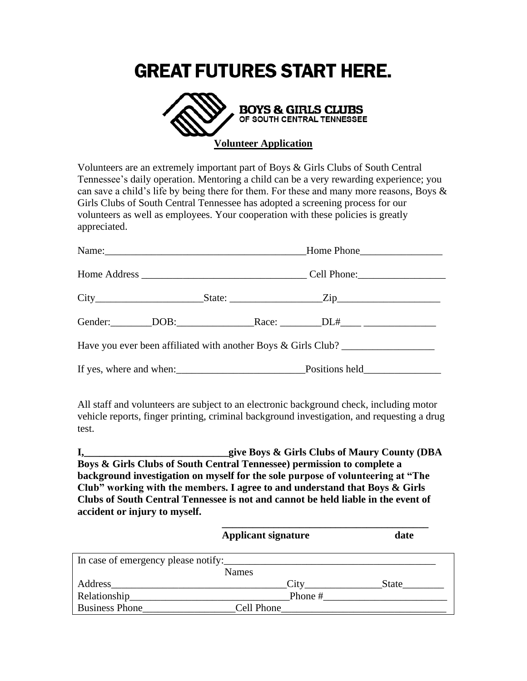## **GREAT FUTURES START HERE.**



Volunteers are an extremely important part of Boys & Girls Clubs of South Central Tennessee's daily operation. Mentoring a child can be a very rewarding experience; you can save a child's life by being there for them. For these and many more reasons, Boys & Girls Clubs of South Central Tennessee has adopted a screening process for our volunteers as well as employees. Your cooperation with these policies is greatly appreciated.

| Have you ever been affiliated with another Boys & Girls Club? |  |  |  |  |  |
|---------------------------------------------------------------|--|--|--|--|--|
| If yes, where and when: Positions held                        |  |  |  |  |  |

All staff and volunteers are subject to an electronic background check, including motor vehicle reports, finger printing, criminal background investigation, and requesting a drug test.

**I,\_\_\_\_\_\_\_\_\_\_\_\_\_\_\_\_\_\_\_\_\_\_\_\_\_\_\_\_give Boys & Girls Clubs of Maury County (DBA Boys & Girls Clubs of South Central Tennessee) permission to complete a background investigation on myself for the sole purpose of volunteering at "The Club" working with the members. I agree to and understand that Boys & Girls Clubs of South Central Tennessee is not and cannot be held liable in the event of accident or injury to myself.**

|                                     | <b>Applicant signature</b> | date  |  |  |
|-------------------------------------|----------------------------|-------|--|--|
| In case of emergency please notify: |                            |       |  |  |
|                                     | <b>Names</b>               |       |  |  |
| Address                             | City                       | State |  |  |
| Relationship_                       | Phone #                    |       |  |  |
| <b>Business Phone</b>               | Cell Phone                 |       |  |  |